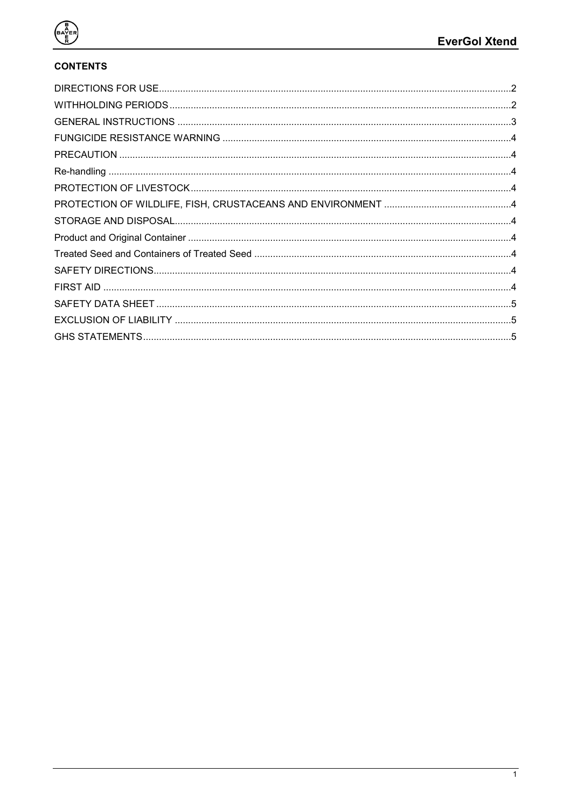

# **CONTENTS**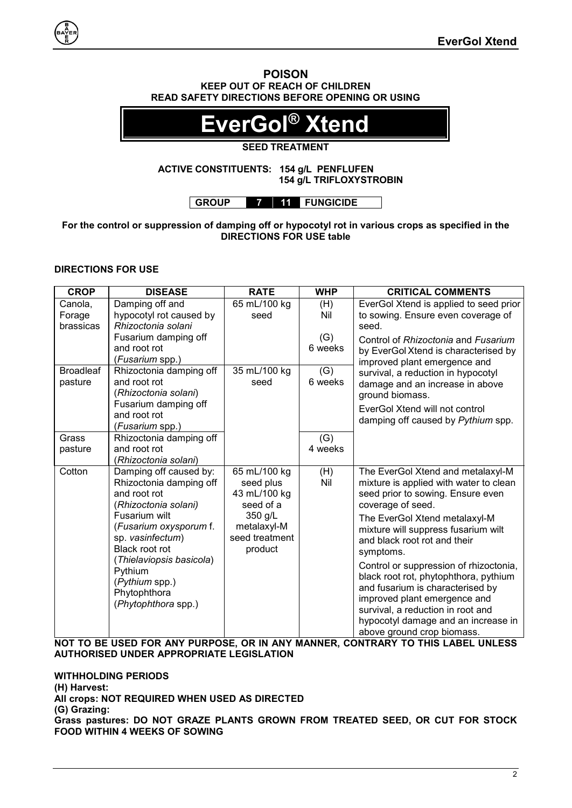#### **POISON KEEP OUT OF REACH OF CHILDREN READ SAFETY DIRECTIONS BEFORE OPENING OR USING**

# **EverGol® Xtend**

# **SEED TREATMENT**

#### **ACTIVE CONSTITUENTS: 154 g/L PENFLUFEN 154 g/L TRIFLOXYSTROBIN**

**GROUP 7 11 FUNGICIDE**

# **For the control or suppression of damping off or hypocotyl rot in various crops as specified in the DIRECTIONS FOR USE table**

# <span id="page-1-0"></span>**DIRECTIONS FOR USE**

| <b>CROP</b>      | <b>DISEASE</b>                               | <b>RATE</b>    | <b>WHP</b> | <b>CRITICAL COMMENTS</b>               |
|------------------|----------------------------------------------|----------------|------------|----------------------------------------|
| Canola,          | Damping off and                              | 65 mL/100 kg   | (H)        | EverGol Xtend is applied to seed prior |
| Forage           | hypocotyl rot caused by                      | seed           | Nil        | to sowing. Ensure even coverage of     |
| brassicas        | Rhizoctonia solani                           |                |            | seed.                                  |
|                  | Fusarium damping off                         |                | (G)        | Control of Rhizoctonia and Fusarium    |
|                  | and root rot                                 |                | 6 weeks    | by EverGol Xtend is characterised by   |
|                  | (Fusarium spp.)                              |                |            | improved plant emergence and           |
| <b>Broadleaf</b> | Rhizoctonia damping off                      | 35 mL/100 kg   | (G)        | survival, a reduction in hypocotyl     |
| pasture          | and root rot                                 | seed           | 6 weeks    | damage and an increase in above        |
|                  | (Rhizoctonia solani)<br>Fusarium damping off |                |            | ground biomass.                        |
|                  | and root rot                                 |                |            | EverGol Xtend will not control         |
|                  | ( <i>Fusarium</i> spp.)                      |                |            | damping off caused by Pythium spp.     |
| Grass            | Rhizoctonia damping off                      |                | (G)        |                                        |
| pasture          | and root rot                                 |                | 4 weeks    |                                        |
|                  | (Rhizoctonia solani)                         |                |            |                                        |
| Cotton           | Damping off caused by:                       | 65 mL/100 kg   | (H)        | The EverGol Xtend and metalaxyl-M      |
|                  | Rhizoctonia damping off                      | seed plus      | Nil        | mixture is applied with water to clean |
|                  | and root rot                                 | 43 mL/100 kg   |            | seed prior to sowing. Ensure even      |
|                  | (Rhizoctonia solani)                         | seed of a      |            | coverage of seed.                      |
|                  | Fusarium wilt                                | 350 g/L        |            | The EverGol Xtend metalaxyl-M          |
|                  | (Fusarium oxysporum f.                       | metalaxyl-M    |            | mixture will suppress fusarium wilt    |
|                  | sp. vasinfectum)                             | seed treatment |            | and black root rot and their           |
|                  | Black root rot                               | product        |            | symptoms.                              |
|                  | (Thielaviopsis basicola)<br>Pythium          |                |            | Control or suppression of rhizoctonia, |
|                  | (Pythium spp.)                               |                |            | black root rot, phytophthora, pythium  |
|                  | Phytophthora                                 |                |            | and fusarium is characterised by       |
|                  | (Phytophthora spp.)                          |                |            | improved plant emergence and           |
|                  |                                              |                |            | survival, a reduction in root and      |
|                  |                                              |                |            | hypocotyl damage and an increase in    |
|                  |                                              |                |            | above ground crop biomass.             |

**NOT TO BE USED FOR ANY PURPOSE, OR IN ANY MANNER, CONTRARY TO THIS LABEL UNLESS AUTHORISED UNDER APPROPRIATE LEGISLATION**

# <span id="page-1-1"></span>**WITHHOLDING PERIODS**

**(H) Harvest: All crops: NOT REQUIRED WHEN USED AS DIRECTED (G) Grazing: Grass pastures: DO NOT GRAZE PLANTS GROWN FROM TREATED SEED, OR CUT FOR STOCK FOOD WITHIN 4 WEEKS OF SOWING**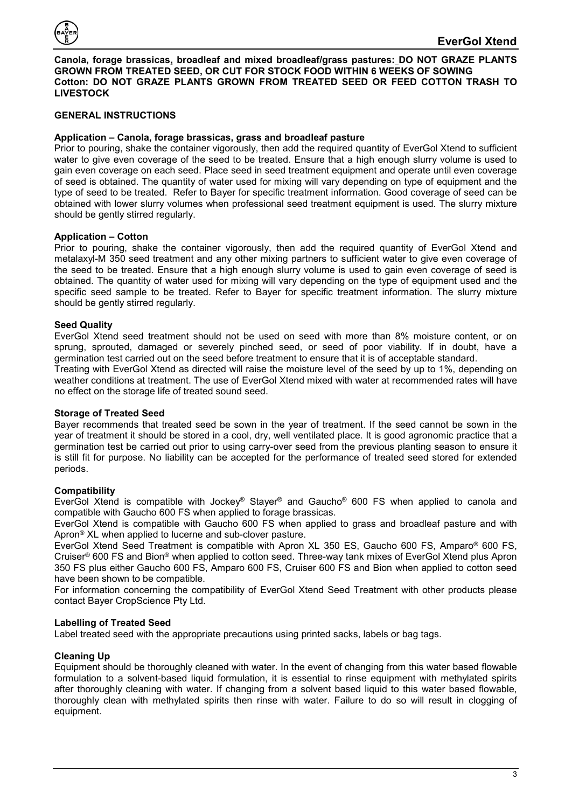<span id="page-2-1"></span>

**Canola, forage brassicas, broadleaf and mixed broadleaf/grass pastures: DO NOT GRAZE PLANTS GROWN FROM TREATED SEED, OR CUT FOR STOCK FOOD WITHIN 6 WEEKS OF SOWING Cotton: DO NOT GRAZE PLANTS GROWN FROM TREATED SEED OR FEED COTTON TRASH TO LIVESTOCK**

# <span id="page-2-0"></span>**GENERAL INSTRUCTIONS**

# **Application – Canola, forage brassicas, grass and broadleaf pasture**

Prior to pouring, shake the container vigorously, then add the required quantity of EverGol Xtend to sufficient water to give even coverage of the seed to be treated. Ensure that a high enough slurry volume is used to gain even coverage on each seed. Place seed in seed treatment equipment and operate until even coverage of seed is obtained. The quantity of water used for mixing will vary depending on type of equipment and the type of seed to be treated. Refer to Bayer for specific treatment information. Good coverage of seed can be obtained with lower slurry volumes when professional seed treatment equipment is used. The slurry mixture should be gently stirred regularly.

#### **Application – Cotton**

Prior to pouring, shake the container vigorously, then add the required quantity of EverGol Xtend and metalaxyl-M 350 seed treatment and any other mixing partners to sufficient water to give even coverage of the seed to be treated. Ensure that a high enough slurry volume is used to gain even coverage of seed is obtained. The quantity of water used for mixing will vary depending on the type of equipment used and the specific seed sample to be treated. Refer to Bayer for specific treatment information. The slurry mixture should be gently stirred regularly.

# **Seed Quality**

EverGol Xtend seed treatment should not be used on seed with more than 8% moisture content, or on sprung, sprouted, damaged or severely pinched seed, or seed of poor viability. If in doubt, have a germination test carried out on the seed before treatment to ensure that it is of acceptable standard.

Treating with EverGol Xtend as directed will raise the moisture level of the seed by up to 1%, depending on weather conditions at treatment. The use of EverGol Xtend mixed with water at recommended rates will have no effect on the storage life of treated sound seed.

#### **Storage of Treated Seed**

Bayer recommends that treated seed be sown in the year of treatment. If the seed cannot be sown in the year of treatment it should be stored in a cool, dry, well ventilated place. It is good agronomic practice that a germination test be carried out prior to using carry-over seed from the previous planting season to ensure it is still fit for purpose. No liability can be accepted for the performance of treated seed stored for extended periods.

#### **Compatibility**

EverGol Xtend is compatible with Jockey® Stayer® and Gaucho® 600 FS when applied to canola and compatible with Gaucho 600 FS when applied to forage brassicas.

EverGol Xtend is compatible with Gaucho 600 FS when applied to grass and broadleaf pasture and with Apron® XL when applied to lucerne and sub-clover pasture.

EverGol Xtend Seed Treatment is compatible with Apron XL 350 ES, Gaucho 600 FS, Amparo® 600 FS, Cruiser® 600 FS and Bion® when applied to cotton seed. Three-way tank mixes of EverGol Xtend plus Apron 350 FS plus either Gaucho 600 FS, Amparo 600 FS, Cruiser 600 FS and Bion when applied to cotton seed have been shown to be compatible.

For information concerning the compatibility of EverGol Xtend Seed Treatment with other products please contact Bayer CropScience Pty Ltd.

#### **Labelling of Treated Seed**

Label treated seed with the appropriate precautions using printed sacks, labels or bag tags.

# **Cleaning Up**

Equipment should be thoroughly cleaned with water. In the event of changing from this water based flowable formulation to a solvent-based liquid formulation, it is essential to rinse equipment with methylated spirits after thoroughly cleaning with water. If changing from a solvent based liquid to this water based flowable, thoroughly clean with methylated spirits then rinse with water. Failure to do so will result in clogging of equipment.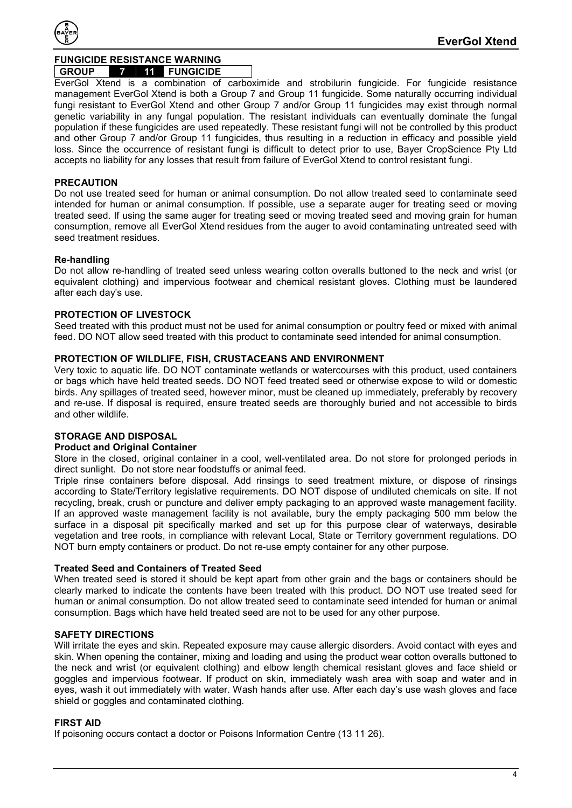<span id="page-3-9"></span>

# **FUNGICIDE RESISTANCE WARNING**

# **GROUP 7 11 FUNGICIDE**

EverGol Xtend is a combination of carboximide and strobilurin fungicide. For fungicide resistance management EverGol Xtend is both a Group 7 and Group 11 fungicide. Some naturally occurring individual fungi resistant to EverGol Xtend and other Group 7 and/or Group 11 fungicides may exist through normal genetic variability in any fungal population. The resistant individuals can eventually dominate the fungal population if these fungicides are used repeatedly. These resistant fungi will not be controlled by this product and other Group 7 and/or Group 11 fungicides, thus resulting in a reduction in efficacy and possible yield loss. Since the occurrence of resistant fungi is difficult to detect prior to use, Bayer CropScience Pty Ltd accepts no liability for any losses that result from failure of EverGol Xtend to control resistant fungi.

# <span id="page-3-0"></span>**PRECAUTION**

Do not use treated seed for human or animal consumption. Do not allow treated seed to contaminate seed intended for human or animal consumption. If possible, use a separate auger for treating seed or moving treated seed. If using the same auger for treating seed or moving treated seed and moving grain for human consumption, remove all EverGol Xtend residues from the auger to avoid contaminating untreated seed with seed treatment residues.

# <span id="page-3-1"></span>**Re-handling**

Do not allow re-handling of treated seed unless wearing cotton overalls buttoned to the neck and wrist (or equivalent clothing) and impervious footwear and chemical resistant gloves. Clothing must be laundered after each day's use.

# <span id="page-3-2"></span>**PROTECTION OF LIVESTOCK**

Seed treated with this product must not be used for animal consumption or poultry feed or mixed with animal feed. DO NOT allow seed treated with this product to contaminate seed intended for animal consumption.

#### <span id="page-3-3"></span>**PROTECTION OF WILDLIFE, FISH, CRUSTACEANS AND ENVIRONMENT**

Very toxic to aquatic life. DO NOT contaminate wetlands or watercourses with this product, used containers or bags which have held treated seeds. DO NOT feed treated seed or otherwise expose to wild or domestic birds. Any spillages of treated seed, however minor, must be cleaned up immediately, preferably by recovery and re-use. If disposal is required, ensure treated seeds are thoroughly buried and not accessible to birds and other wildlife.

# <span id="page-3-4"></span>**STORAGE AND DISPOSAL**

# <span id="page-3-5"></span>**Product and Original Container**

Store in the closed, original container in a cool, well-ventilated area. Do not store for prolonged periods in direct sunlight. Do not store near foodstuffs or animal feed.

Triple rinse containers before disposal. Add rinsings to seed treatment mixture, or dispose of rinsings according to State/Territory legislative requirements. DO NOT dispose of undiluted chemicals on site. If not recycling, break, crush or puncture and deliver empty packaging to an approved waste management facility. If an approved waste management facility is not available, bury the empty packaging 500 mm below the surface in a disposal pit specifically marked and set up for this purpose clear of waterways, desirable vegetation and tree roots, in compliance with relevant Local, State or Territory government regulations. DO NOT burn empty containers or product. Do not re-use empty container for any other purpose.

#### <span id="page-3-6"></span>**Treated Seed and Containers of Treated Seed**

When treated seed is stored it should be kept apart from other grain and the bags or containers should be clearly marked to indicate the contents have been treated with this product. DO NOT use treated seed for human or animal consumption. Do not allow treated seed to contaminate seed intended for human or animal consumption. Bags which have held treated seed are not to be used for any other purpose.

# <span id="page-3-7"></span>**SAFETY DIRECTIONS**

Will irritate the eyes and skin. Repeated exposure may cause allergic disorders. Avoid contact with eyes and skin. When opening the container, mixing and loading and using the product wear cotton overalls buttoned to the neck and wrist (or equivalent clothing) and elbow length chemical resistant gloves and face shield or goggles and impervious footwear. If product on skin, immediately wash area with soap and water and in eyes, wash it out immediately with water. Wash hands after use. After each day's use wash gloves and face shield or goggles and contaminated clothing.

# <span id="page-3-8"></span>**FIRST AID**

If poisoning occurs contact a doctor or Poisons Information Centre (13 11 26).